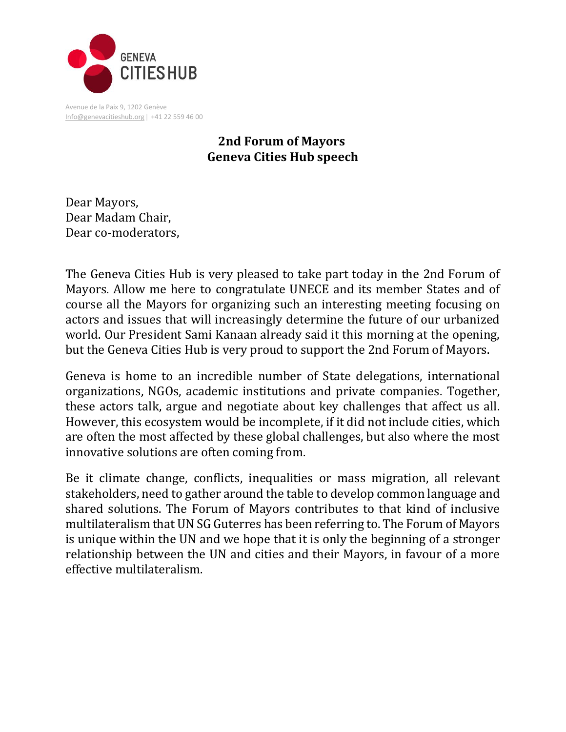

Avenue de la Paix 9, 1202 Genève  $Info@genevacitieshub.org | +41 22 559 46 00$  $Info@genevacitieshub.org | +41 22 559 46 00$ 

## **2nd Forum of Mayors Geneva Cities Hub speech**

Dear Mayors, Dear Madam Chair, Dear co-moderators,

The Geneva Cities Hub is very pleased to take part today in the 2nd Forum of Mayors. Allow me here to congratulate UNECE and its member States and of course all the Mayors for organizing such an interesting meeting focusing on actors and issues that will increasingly determine the future of our urbanized world. Our President Sami Kanaan already said it this morning at the opening, but the Geneva Cities Hub is very proud to support the 2nd Forum of Mayors.

Geneva is home to an incredible number of State delegations, international organizations, NGOs, academic institutions and private companies. Together, these actors talk, argue and negotiate about key challenges that affect us all. However, this ecosystem would be incomplete, if it did not include cities, which are often the most affected by these global challenges, but also where the most innovative solutions are often coming from.

Be it climate change, conflicts, inequalities or mass migration, all relevant stakeholders, need to gather around the table to develop common language and shared solutions. The Forum of Mayors contributes to that kind of inclusive multilateralism that UN SG Guterres has been referring to. The Forum of Mayors is unique within the UN and we hope that it is only the beginning of a stronger relationship between the UN and cities and their Mayors, in favour of a more effective multilateralism.